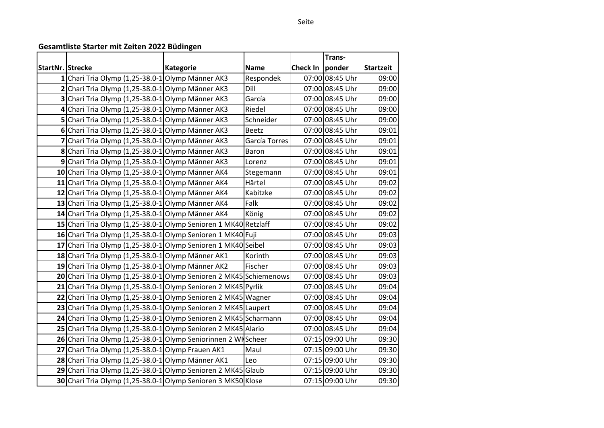## **Gesamtliste Starter mit Zeiten 2022 Büdingen**

|                         |                                                                    |                  |               |                 | Trans-          |                  |
|-------------------------|--------------------------------------------------------------------|------------------|---------------|-----------------|-----------------|------------------|
| <b>StartNr. Strecke</b> |                                                                    | <b>Kategorie</b> | <b>Name</b>   | <b>Check In</b> | ponder          | <b>Startzeit</b> |
|                         | 1 Chari Tria Olymp (1,25-38.0-1 Olymp Männer AK3                   |                  | Respondek     |                 | 07:00 08:45 Uhr | 09:00            |
|                         | 2 Chari Tria Olymp (1,25-38.0-1 Olymp Männer AK3                   |                  | Dill          |                 | 07:00 08:45 Uhr | 09:00            |
|                         | 3 Chari Tria Olymp (1,25-38.0-1 Olymp Männer AK3                   |                  | García        |                 | 07:00 08:45 Uhr | 09:00            |
|                         | 4 Chari Tria Olymp (1,25-38.0-1 Olymp Männer AK3                   |                  | Riedel        |                 | 07:00 08:45 Uhr | 09:00            |
|                         | 5 Chari Tria Olymp (1,25-38.0-1 Olymp Männer AK3                   |                  | Schneider     |                 | 07:00 08:45 Uhr | 09:00            |
|                         | 6 Chari Tria Olymp (1,25-38.0-1 Olymp Männer AK3                   |                  | <b>Beetz</b>  |                 | 07:00 08:45 Uhr | 09:01            |
|                         | 7 Chari Tria Olymp (1,25-38.0-1 Olymp Männer AK3                   |                  | García Torres |                 | 07:00 08:45 Uhr | 09:01            |
|                         | 8 Chari Tria Olymp (1,25-38.0-1 Olymp Männer AK3                   |                  | Baron         |                 | 07:00 08:45 Uhr | 09:01            |
|                         | 9 Chari Tria Olymp (1,25-38.0-1 Olymp Männer AK3                   |                  | Lorenz        |                 | 07:00 08:45 Uhr | 09:01            |
|                         | 10 Chari Tria Olymp (1,25-38.0-1 Olymp Männer AK4                  |                  | Stegemann     |                 | 07:00 08:45 Uhr | 09:01            |
|                         | 11 Chari Tria Olymp (1,25-38.0-1 Olymp Männer AK4                  |                  | Härtel        |                 | 07:00 08:45 Uhr | 09:02            |
|                         | 12 Chari Tria Olymp (1,25-38.0-1 Olymp Männer AK4                  |                  | Kabitzke      |                 | 07:00 08:45 Uhr | 09:02            |
|                         | 13 Chari Tria Olymp (1,25-38.0-1 Olymp Männer AK4                  |                  | Falk          |                 | 07:00 08:45 Uhr | 09:02            |
|                         | 14 Chari Tria Olymp (1,25-38.0-1 Olymp Männer AK4                  |                  | König         |                 | 07:00 08:45 Uhr | 09:02            |
|                         | 15 Chari Tria Olymp (1,25-38.0-1 Olymp Senioren 1 MK40 Retzlaff    |                  |               |                 | 07:00 08:45 Uhr | 09:02            |
|                         | 16 Chari Tria Olymp (1,25-38.0-1 Olymp Senioren 1 MK40 Fuji        |                  |               |                 | 07:00 08:45 Uhr | 09:03            |
|                         | 17 Chari Tria Olymp (1,25-38.0-1 Olymp Senioren 1 MK40 Seibel      |                  |               |                 | 07:00 08:45 Uhr | 09:03            |
|                         | 18 Chari Tria Olymp (1,25-38.0-1 Olymp Männer AK1                  |                  | Korinth       |                 | 07:00 08:45 Uhr | 09:03            |
|                         | 19 Chari Tria Olymp (1,25-38.0-1 Olymp Männer AK2                  |                  | Fischer       |                 | 07:00 08:45 Uhr | 09:03            |
|                         | 20 Chari Tria Olymp (1,25-38.0-1 Olymp Senioren 2 MK45 Schiemenows |                  |               |                 | 07:00 08:45 Uhr | 09:03            |
|                         | 21 Chari Tria Olymp (1,25-38.0-1 Olymp Senioren 2 MK45 Pyrlik      |                  |               |                 | 07:00 08:45 Uhr | 09:04            |
|                         | 22 Chari Tria Olymp (1,25-38.0-1 Olymp Senioren 2 MK45 Wagner      |                  |               |                 | 07:00 08:45 Uhr | 09:04            |
|                         | 23 Chari Tria Olymp (1,25-38.0-1 Olymp Senioren 2 MK45 Laupert     |                  |               |                 | 07:00 08:45 Uhr | 09:04            |
|                         | 24 Chari Tria Olymp (1,25-38.0-1 Olymp Senioren 2 MK45 Scharmann   |                  |               |                 | 07:00 08:45 Uhr | 09:04            |
|                         | 25 Chari Tria Olymp (1,25-38.0-1 Olymp Senioren 2 MK45 Alario      |                  |               |                 | 07:00 08:45 Uhr | 09:04            |
|                         | 26 Chari Tria Olymp (1,25-38.0-1 Olymp Seniorinnen 2 WH Scheer     |                  |               |                 | 07:15 09:00 Uhr | 09:30            |
|                         | 27 Chari Tria Olymp (1,25-38.0-1 Olymp Frauen AK1                  |                  | Maul          |                 | 07:15 09:00 Uhr | 09:30            |
|                         | 28 Chari Tria Olymp (1,25-38.0-1 Olymp Männer AK1                  |                  | Leo           |                 | 07:15 09:00 Uhr | 09:30            |
|                         | 29 Chari Tria Olymp (1,25-38.0-1 Olymp Senioren 2 MK45 Glaub       |                  |               |                 | 07:15 09:00 Uhr | 09:30            |
|                         | 30 Chari Tria Olymp (1,25-38.0-1 Olymp Senioren 3 MK50 Klose       |                  |               |                 | 07:15 09:00 Uhr | 09:30            |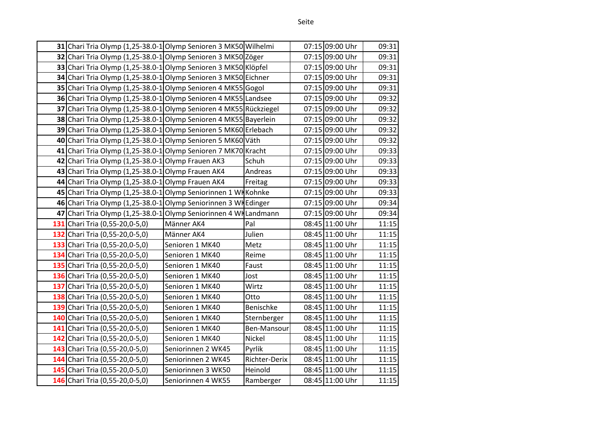|     | 31 Chari Tria Olymp (1,25-38.0-1 Olymp Senioren 3 MK50 Wilhelmi  |                    |               | 07:15 09:00 Uhr | 09:31 |
|-----|------------------------------------------------------------------|--------------------|---------------|-----------------|-------|
|     | 32 Chari Tria Olymp (1,25-38.0-1 Olymp Senioren 3 MK50 Zöger     |                    |               | 07:15 09:00 Uhr | 09:31 |
|     | 33 Chari Tria Olymp (1,25-38.0-1 Olymp Senioren 3 MK50 Klöpfel   |                    |               | 07:15 09:00 Uhr | 09:31 |
|     | 34 Chari Tria Olymp (1,25-38.0-1 Olymp Senioren 3 MK50 Eichner   |                    |               | 07:15 09:00 Uhr | 09:31 |
|     | 35 Chari Tria Olymp (1,25-38.0-1 Olymp Senioren 4 MK55 Gogol     |                    |               | 07:15 09:00 Uhr | 09:31 |
|     | 36 Chari Tria Olymp (1,25-38.0-1 Olymp Senioren 4 MK55 Landsee   |                    |               | 07:15 09:00 Uhr | 09:32 |
| 37  | Chari Tria Olymp (1,25-38.0-1 Olymp Senioren 4 MK55 Rückziegel   |                    |               | 07:15 09:00 Uhr | 09:32 |
|     | 38 Chari Tria Olymp (1,25-38.0-1 Olymp Senioren 4 MK55 Bayerlein |                    |               | 07:15 09:00 Uhr | 09:32 |
|     | 39 Chari Tria Olymp (1,25-38.0-1 Olymp Senioren 5 MK60 Erlebach  |                    |               | 07:15 09:00 Uhr | 09:32 |
|     | 40 Chari Tria Olymp (1,25-38.0-1 Olymp Senioren 5 MK60 Väth      |                    |               | 07:15 09:00 Uhr | 09:32 |
|     | 41 Chari Tria Olymp (1,25-38.0-1 Olymp Senioren 7 MK70 Kracht    |                    |               | 07:15 09:00 Uhr | 09:33 |
|     | 42 Chari Tria Olymp (1,25-38.0-1 Olymp Frauen AK3                |                    | Schuh         | 07:15 09:00 Uhr | 09:33 |
|     | 43 Chari Tria Olymp (1,25-38.0-1 Olymp Frauen AK4                |                    | Andreas       | 07:15 09:00 Uhr | 09:33 |
|     | 44 Chari Tria Olymp (1,25-38.0-1 Olymp Frauen AK4                |                    | Freitag       | 07:15 09:00 Uhr | 09:33 |
|     | 45 Chari Tria Olymp (1,25-38.0-1 Olymp Seniorinnen 1 WKKohnke    |                    |               | 07:15 09:00 Uhr | 09:33 |
|     | 46 Chari Tria Olymp (1,25-38.0-1 Olymp Seniorinnen 3 WH Edinger  |                    |               | 07:15 09:00 Uhr | 09:34 |
|     | 47 Chari Tria Olymp (1,25-38.0-1 Olymp Seniorinnen 4 Willandmann |                    |               | 07:15 09:00 Uhr | 09:34 |
|     | 131 Chari Tria (0,55-20,0-5,0)                                   | Männer AK4         | Pal           | 08:45 11:00 Uhr | 11:15 |
|     | 132 Chari Tria (0,55-20,0-5,0)                                   | Männer AK4         | Julien        | 08:45 11:00 Uhr | 11:15 |
|     | 133 Chari Tria (0,55-20,0-5,0)                                   | Senioren 1 MK40    | Metz          | 08:45 11:00 Uhr | 11:15 |
|     | 134 Chari Tria (0,55-20,0-5,0)                                   | Senioren 1 MK40    | Reime         | 08:45 11:00 Uhr | 11:15 |
|     | 135 Chari Tria (0,55-20,0-5,0)                                   | Senioren 1 MK40    | Faust         | 08:45 11:00 Uhr | 11:15 |
|     | 136 Chari Tria (0,55-20,0-5,0)                                   | Senioren 1 MK40    | Jost          | 08:45 11:00 Uhr | 11:15 |
| 137 | Chari Tria (0,55-20,0-5,0)                                       | Senioren 1 MK40    | Wirtz         | 08:45 11:00 Uhr | 11:15 |
|     | 138 Chari Tria (0,55-20,0-5,0)                                   | Senioren 1 MK40    | Otto          | 08:45 11:00 Uhr | 11:15 |
|     | 139 Chari Tria (0,55-20,0-5,0)                                   | Senioren 1 MK40    | Benischke     | 08:45 11:00 Uhr | 11:15 |
|     | 140 Chari Tria (0,55-20,0-5,0)                                   | Senioren 1 MK40    | Sternberger   | 08:45 11:00 Uhr | 11:15 |
|     | 141 Chari Tria (0,55-20,0-5,0)                                   | Senioren 1 MK40    | Ben-Mansour   | 08:45 11:00 Uhr | 11:15 |
| 142 | Chari Tria (0,55-20,0-5,0)                                       | Senioren 1 MK40    | Nickel        | 08:45 11:00 Uhr | 11:15 |
|     | 143 Chari Tria (0,55-20,0-5,0)                                   | Seniorinnen 2 WK45 | Pyrlik        | 08:45 11:00 Uhr | 11:15 |
|     | 144 Chari Tria (0,55-20,0-5,0)                                   | Seniorinnen 2 WK45 | Richter-Derix | 08:45 11:00 Uhr | 11:15 |
|     | 145 Chari Tria (0,55-20,0-5,0)                                   | Seniorinnen 3 WK50 | Heinold       | 08:45 11:00 Uhr | 11:15 |
|     | 146 Chari Tria (0,55-20,0-5,0)                                   | Seniorinnen 4 WK55 | Ramberger     | 08:45 11:00 Uhr | 11:15 |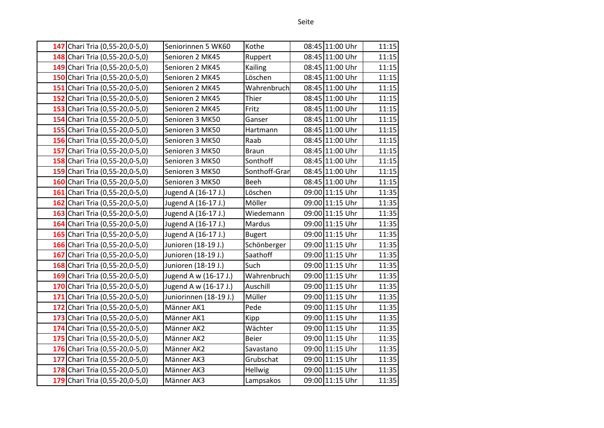| w<br>×<br>×<br>v<br>۰,<br>۰.<br>۰, |
|------------------------------------|
|------------------------------------|

| 147 Chari Tria (0,55-20,0-5,0) | Seniorinnen 5 WK60     | Kothe         | 08:45 11:00 Uhr | 11:15 |
|--------------------------------|------------------------|---------------|-----------------|-------|
| 148 Chari Tria (0,55-20,0-5,0) | Senioren 2 MK45        | Ruppert       | 08:45 11:00 Uhr | 11:15 |
| 149 Chari Tria (0,55-20,0-5,0) | Senioren 2 MK45        | Kailing       | 08:45 11:00 Uhr | 11:15 |
| 150 Chari Tria (0,55-20,0-5,0) | Senioren 2 MK45        | Löschen       | 08:45 11:00 Uhr | 11:15 |
| 151 Chari Tria (0,55-20,0-5,0) | Senioren 2 MK45        | Wahrenbruch   | 08:45 11:00 Uhr | 11:15 |
| 152 Chari Tria (0,55-20,0-5,0) | Senioren 2 MK45        | Thier         | 08:45 11:00 Uhr | 11:15 |
| 153 Chari Tria (0,55-20,0-5,0) | Senioren 2 MK45        | Fritz         | 08:45 11:00 Uhr | 11:15 |
| 154 Chari Tria (0,55-20,0-5,0) | Senioren 3 MK50        | Ganser        | 08:45 11:00 Uhr | 11:15 |
| 155 Chari Tria (0,55-20,0-5,0) | Senioren 3 MK50        | Hartmann      | 08:45 11:00 Uhr | 11:15 |
| 156 Chari Tria (0,55-20,0-5,0) | Senioren 3 MK50        | Raab          | 08:45 11:00 Uhr | 11:15 |
| 157 Chari Tria (0,55-20,0-5,0) | Senioren 3 MK50        | <b>Braun</b>  | 08:45 11:00 Uhr | 11:15 |
| 158 Chari Tria (0,55-20,0-5,0) | Senioren 3 MK50        | Sonthoff      | 08:45 11:00 Uhr | 11:15 |
| 159 Chari Tria (0,55-20,0-5,0) | Senioren 3 MK50        | Sonthoff-Gran | 08:45 11:00 Uhr | 11:15 |
| 160 Chari Tria (0,55-20,0-5,0) | Senioren 3 MK50        | Beeh          | 08:45 11:00 Uhr | 11:15 |
| 161 Chari Tria (0,55-20,0-5,0) | Jugend A (16-17 J.)    | Löschen       | 09:00 11:15 Uhr | 11:35 |
| 162 Chari Tria (0,55-20,0-5,0) | Jugend A (16-17 J.)    | Möller        | 09:00 11:15 Uhr | 11:35 |
| 163 Chari Tria (0,55-20,0-5,0) | Jugend A (16-17 J.)    | Wiedemann     | 09:00 11:15 Uhr | 11:35 |
| 164 Chari Tria (0,55-20,0-5,0) | Jugend A (16-17 J.)    | Mardus        | 09:00 11:15 Uhr | 11:35 |
| 165 Chari Tria (0,55-20,0-5,0) | Jugend A (16-17 J.)    | <b>Bugert</b> | 09:00 11:15 Uhr | 11:35 |
| 166 Chari Tria (0,55-20,0-5,0) | Junioren (18-19 J.)    | Schönberger   | 09:00 11:15 Uhr | 11:35 |
| 167 Chari Tria (0,55-20,0-5,0) | Junioren (18-19 J.)    | Saathoff      | 09:00 11:15 Uhr | 11:35 |
| 168 Chari Tria (0,55-20,0-5,0) | Junioren (18-19 J.)    | Such          | 09:00 11:15 Uhr | 11:35 |
| 169 Chari Tria (0,55-20,0-5,0) | Jugend A w (16-17 J.)  | Wahrenbruch   | 09:00 11:15 Uhr | 11:35 |
| 170 Chari Tria (0,55-20,0-5,0) | Jugend A w (16-17 J.)  | Auschill      | 09:00 11:15 Uhr | 11:35 |
| 171 Chari Tria (0,55-20,0-5,0) | Juniorinnen (18-19 J.) | Müller        | 09:00 11:15 Uhr | 11:35 |
| 172 Chari Tria (0,55-20,0-5,0) | Männer AK1             | Pede          | 09:00 11:15 Uhr | 11:35 |
| 173 Chari Tria (0,55-20,0-5,0) | Männer AK1             | Kipp          | 09:00 11:15 Uhr | 11:35 |
| 174 Chari Tria (0,55-20,0-5,0) | Männer AK2             | Wächter       | 09:00 11:15 Uhr | 11:35 |
| 175 Chari Tria (0,55-20,0-5,0) | Männer AK2             | <b>Beier</b>  | 09:00 11:15 Uhr | 11:35 |
| 176 Chari Tria (0,55-20,0-5,0) | Männer AK2             | Savastano     | 09:00 11:15 Uhr | 11:35 |
| 177 Chari Tria (0,55-20,0-5,0) | Männer AK3             | Grubschat     | 09:00 11:15 Uhr | 11:35 |
| 178 Chari Tria (0,55-20,0-5,0) | Männer AK3             | Hellwig       | 09:00 11:15 Uhr | 11:35 |
| 179 Chari Tria (0,55-20,0-5,0) | Männer AK3             | Lampsakos     | 09:00 11:15 Uhr | 11:35 |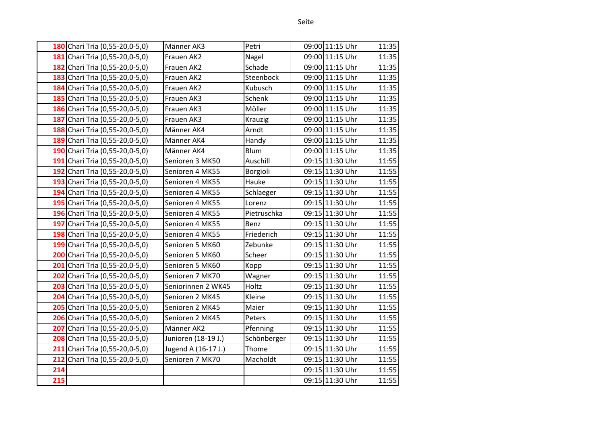|     | 180 Chari Tria (0,55-20,0-5,0) | Männer AK3          | Petri       | 09:00 11:15 Uhr | 11:35 |
|-----|--------------------------------|---------------------|-------------|-----------------|-------|
|     | 181 Chari Tria (0,55-20,0-5,0) | Frauen AK2          | Nagel       | 09:00 11:15 Uhr | 11:35 |
|     | 182 Chari Tria (0,55-20,0-5,0) | Frauen AK2          | Schade      | 09:00 11:15 Uhr | 11:35 |
|     | 183 Chari Tria (0,55-20,0-5,0) | Frauen AK2          | Steenbock   | 09:00 11:15 Uhr | 11:35 |
|     | 184 Chari Tria (0,55-20,0-5,0) | Frauen AK2          | Kubusch     | 09:00 11:15 Uhr | 11:35 |
|     | 185 Chari Tria (0,55-20,0-5,0) | Frauen AK3          | Schenk      | 09:00 11:15 Uhr | 11:35 |
|     | 186 Chari Tria (0,55-20,0-5,0) | Frauen AK3          | Möller      | 09:00 11:15 Uhr | 11:35 |
|     | 187 Chari Tria (0,55-20,0-5,0) | Frauen AK3          | Krauzig     | 09:00 11:15 Uhr | 11:35 |
|     | 188 Chari Tria (0,55-20,0-5,0) | Männer AK4          | Arndt       | 09:00 11:15 Uhr | 11:35 |
|     | 189 Chari Tria (0,55-20,0-5,0) | Männer AK4          | Handy       | 09:00 11:15 Uhr | 11:35 |
|     | 190 Chari Tria (0,55-20,0-5,0) | Männer AK4          | Blum        | 09:00 11:15 Uhr | 11:35 |
|     | 191 Chari Tria (0,55-20,0-5,0) | Senioren 3 MK50     | Auschill    | 09:15 11:30 Uhr | 11:55 |
|     | 192 Chari Tria (0,55-20,0-5,0) | Senioren 4 MK55     | Borgioli    | 09:15 11:30 Uhr | 11:55 |
|     | 193 Chari Tria (0,55-20,0-5,0) | Senioren 4 MK55     | Hauke       | 09:15 11:30 Uhr | 11:55 |
|     | 194 Chari Tria (0,55-20,0-5,0) | Senioren 4 MK55     | Schlaeger   | 09:15 11:30 Uhr | 11:55 |
|     | 195 Chari Tria (0,55-20,0-5,0) | Senioren 4 MK55     | Lorenz      | 09:15 11:30 Uhr | 11:55 |
|     | 196 Chari Tria (0,55-20,0-5,0) | Senioren 4 MK55     | Pietruschka | 09:15 11:30 Uhr | 11:55 |
|     | 197 Chari Tria (0,55-20,0-5,0) | Senioren 4 MK55     | Benz        | 09:15 11:30 Uhr | 11:55 |
|     | 198 Chari Tria (0,55-20,0-5,0) | Senioren 4 MK55     | Friederich  | 09:15 11:30 Uhr | 11:55 |
|     | 199 Chari Tria (0,55-20,0-5,0) | Senioren 5 MK60     | Zebunke     | 09:15 11:30 Uhr | 11:55 |
|     | 200 Chari Tria (0,55-20,0-5,0) | Senioren 5 MK60     | Scheer      | 09:15 11:30 Uhr | 11:55 |
|     | 201 Chari Tria (0,55-20,0-5,0) | Senioren 5 MK60     | Kopp        | 09:15 11:30 Uhr | 11:55 |
|     | 202 Chari Tria (0,55-20,0-5,0) | Senioren 7 MK70     | Wagner      | 09:15 11:30 Uhr | 11:55 |
|     | 203 Chari Tria (0,55-20,0-5,0) | Seniorinnen 2 WK45  | Holtz       | 09:15 11:30 Uhr | 11:55 |
|     | 204 Chari Tria (0,55-20,0-5,0) | Senioren 2 MK45     | Kleine      | 09:15 11:30 Uhr | 11:55 |
|     | 205 Chari Tria (0,55-20,0-5,0) | Senioren 2 MK45     | Maier       | 09:15 11:30 Uhr | 11:55 |
|     | 206 Chari Tria (0,55-20,0-5,0) | Senioren 2 MK45     | Peters      | 09:15 11:30 Uhr | 11:55 |
| 207 | Chari Tria (0,55-20,0-5,0)     | Männer AK2          | Pfenning    | 09:15 11:30 Uhr | 11:55 |
|     | 208 Chari Tria (0,55-20,0-5,0) | Junioren (18-19 J.) | Schönberger | 09:15 11:30 Uhr | 11:55 |
|     | 211 Chari Tria (0,55-20,0-5,0) | Jugend A (16-17 J.) | Thome       | 09:15 11:30 Uhr | 11:55 |
| 212 | Chari Tria (0,55-20,0-5,0)     | Senioren 7 MK70     | Macholdt    | 09:15 11:30 Uhr | 11:55 |
| 214 |                                |                     |             | 09:15 11:30 Uhr | 11:55 |
| 215 |                                |                     |             | 09:15 11:30 Uhr | 11:55 |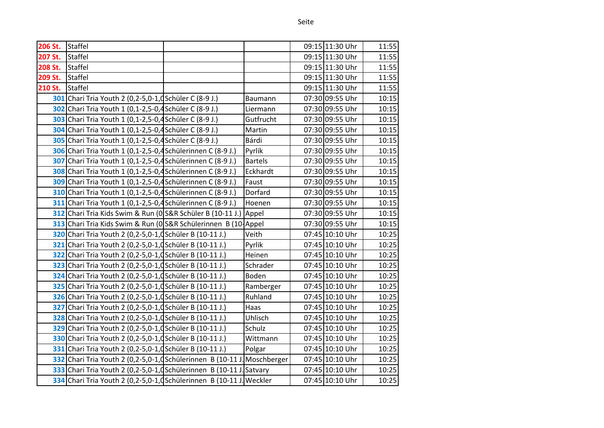| 206 St. | <b>Staffel</b>                                                           |                | 09:15 11:30 Uhr | 11:55 |
|---------|--------------------------------------------------------------------------|----------------|-----------------|-------|
| 207 St. | <b>Staffel</b>                                                           |                | 09:15 11:30 Uhr | 11:55 |
| 208 St. | <b>Staffel</b>                                                           |                | 09:15 11:30 Uhr | 11:55 |
| 209 St. | <b>Staffel</b>                                                           |                | 09:15 11:30 Uhr | 11:55 |
| 210 St. | <b>Staffel</b>                                                           |                | 09:15 11:30 Uhr | 11:55 |
|         | 301 Chari Tria Youth 2 (0,2-5,0-1, dSchüler C (8-9 J.)                   | Baumann        | 07:30 09:55 Uhr | 10:15 |
|         | 302 Chari Tria Youth 1 (0,1-2,5-0,4 Schüler C (8-9 J.)                   | Liermann       | 07:30 09:55 Uhr | 10:15 |
|         | 303 Chari Tria Youth 1 (0,1-2,5-0,4 Schüler C (8-9 J.)                   | Gutfrucht      | 07:30 09:55 Uhr | 10:15 |
|         | 304 Chari Tria Youth 1 (0,1-2,5-0,4 Schüler C (8-9 J.)                   | Martin         | 07:30 09:55 Uhr | 10:15 |
|         | 305 Chari Tria Youth 1 (0,1-2,5-0,4 Schüler C (8-9 J.)                   | Bárdi          | 07:30 09:55 Uhr | 10:15 |
|         | 306 Chari Tria Youth 1 (0,1-2,5-0,4 Schülerinnen C (8-9 J.)              | Pyrlik         | 07:30 09:55 Uhr | 10:15 |
|         | 307 Chari Tria Youth 1 (0,1-2,5-0,4 Schülerinnen C (8-9 J.)              | <b>Bartels</b> | 07:30 09:55 Uhr | 10:15 |
|         | 308 Chari Tria Youth 1 (0,1-2,5-0,4 Schülerinnen C (8-9 J.)              | Eckhardt       | 07:30 09:55 Uhr | 10:15 |
|         | 309 Chari Tria Youth 1 (0,1-2,5-0,4 Schülerinnen C (8-9 J.)              | Faust          | 07:30 09:55 Uhr | 10:15 |
|         | 310 Chari Tria Youth 1 (0,1-2,5-0,4 Schülerinnen C (8-9 J.)              | Dorfard        | 07:30 09:55 Uhr | 10:15 |
|         | 311 Chari Tria Youth 1 (0,1-2,5-0,4 Schülerinnen C (8-9 J.)              | Hoenen         | 07:30 09:55 Uhr | 10:15 |
|         | 312 Chari Tria Kids Swim & Run (0 S&R Schüler B (10-11 J.)               | Appel          | 07:30 09:55 Uhr | 10:15 |
|         | 313 Chari Tria Kids Swim & Run (0S&R Schülerinnen B (10 Appel            |                | 07:30 09:55 Uhr | 10:15 |
|         | 320 Chari Tria Youth 2 (0,2-5,0-1,d Schüler B (10-11 J.)                 | Veith          | 07:45 10:10 Uhr | 10:25 |
|         | 321 Chari Tria Youth 2 (0,2-5,0-1, dSchüler B (10-11 J.)                 | Pyrlik         | 07:45 10:10 Uhr | 10:25 |
|         | 322 Chari Tria Youth 2 (0,2-5,0-1,d Schüler B (10-11 J.)                 | Heinen         | 07:45 10:10 Uhr | 10:25 |
|         | 323 Chari Tria Youth 2 (0,2-5,0-1, dSchüler B (10-11 J.)                 | Schrader       | 07:45 10:10 Uhr | 10:25 |
|         | 324 Chari Tria Youth 2 (0,2-5,0-1, dSchüler B (10-11 J.)                 | Boden          | 07:45 10:10 Uhr | 10:25 |
|         | 325 Chari Tria Youth 2 (0,2-5,0-1, dSchüler B (10-11 J.)                 | Ramberger      | 07:45 10:10 Uhr | 10:25 |
|         | 326 Chari Tria Youth 2 (0,2-5,0-1, dSchüler B (10-11 J.)                 | Ruhland        | 07:45 10:10 Uhr | 10:25 |
|         | 327 Chari Tria Youth 2 (0,2-5,0-1, Chiler B (10-11 J.)                   | Haas           | 07:45 10:10 Uhr | 10:25 |
|         | 328 Chari Tria Youth 2 (0,2-5,0-1, Chiler B (10-11 J.)                   | Uhlisch        | 07:45 10:10 Uhr | 10:25 |
|         | 329 Chari Tria Youth 2 (0,2-5,0-1,d Schüler B (10-11 J.)                 | Schulz         | 07:45 10:10 Uhr | 10:25 |
|         | 330 Chari Tria Youth 2 (0,2-5,0-1, dSchüler B (10-11 J.)                 | Wittmann       | 07:45 10:10 Uhr | 10:25 |
|         | 331 Chari Tria Youth 2 (0,2-5,0-1, dSchüler B (10-11 J.)                 | Polgar         | 07:45 10:10 Uhr | 10:25 |
|         | 332 Chari Tria Youth 2 (0,2-5,0-1,d Schülerinnen B (10-11 J. Moschberger |                | 07:45 10:10 Uhr | 10:25 |
|         | 333 Chari Tria Youth 2 (0,2-5,0-1,dSchülerinnen B (10-11 J. Satvary      |                | 07:45 10:10 Uhr | 10:25 |
|         | 334 Chari Tria Youth 2 (0,2-5,0-1, dSchülerinnen B (10-11 J. Weckler     |                | 07:45 10:10 Uhr | 10:25 |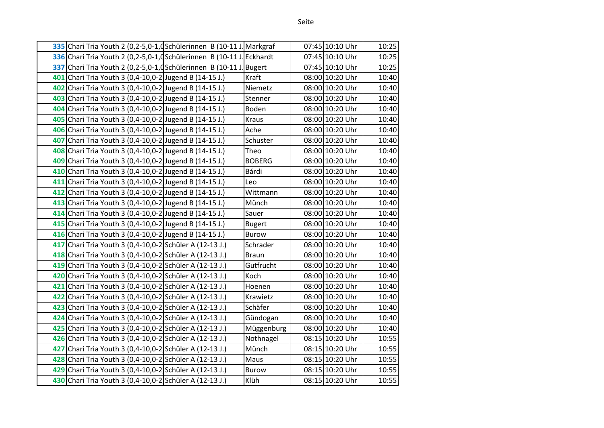| 335 Chari Tria Youth 2 (0,2-5,0-1, Chilerinnen B (10-11 J. Markgraf   |               | 07:45 10:10 Uhr | 10:25 |
|-----------------------------------------------------------------------|---------------|-----------------|-------|
| 336 Chari Tria Youth 2 (0,2-5,0-1,d Schülerinnen B (10-11 J. Eckhardt |               | 07:45 10:10 Uhr | 10:25 |
| 337 Chari Tria Youth 2 (0,2-5,0-1, dSchülerinnen B (10-11 J. Bugert   |               | 07:45 10:10 Uhr | 10:25 |
| 401 Chari Tria Youth 3 (0,4-10,0-2 Jugend B (14-15 J.)                | Kraft         | 08:00 10:20 Uhr | 10:40 |
| 402 Chari Tria Youth 3 (0,4-10,0-2 Jugend B (14-15 J.)                | Niemetz       | 08:00 10:20 Uhr | 10:40 |
| 403 Chari Tria Youth 3 (0,4-10,0-2 Jugend B (14-15 J.)                | Stenner       | 08:00 10:20 Uhr | 10:40 |
| 404 Chari Tria Youth 3 (0,4-10,0-2 Jugend B (14-15 J.)                | Boden         | 08:00 10:20 Uhr | 10:40 |
| 405 Chari Tria Youth 3 (0,4-10,0-2 Jugend B (14-15 J.)                | Kraus         | 08:00 10:20 Uhr | 10:40 |
| 406 Chari Tria Youth 3 (0,4-10,0-2 Jugend B (14-15 J.)                | Ache          | 08:00 10:20 Uhr | 10:40 |
| 407 Chari Tria Youth 3 (0,4-10,0-2 Jugend B (14-15 J.)                | Schuster      | 08:00 10:20 Uhr | 10:40 |
| 408 Chari Tria Youth 3 (0,4-10,0-2 Jugend B (14-15 J.)                | Theo          | 08:00 10:20 Uhr | 10:40 |
| 409 Chari Tria Youth 3 (0,4-10,0-2 Jugend B (14-15 J.)                | <b>BOBERG</b> | 08:00 10:20 Uhr | 10:40 |
| 410 Chari Tria Youth 3 (0,4-10,0-2 Jugend B (14-15 J.)                | Bárdi         | 08:00 10:20 Uhr | 10:40 |
| 411 Chari Tria Youth 3 (0,4-10,0-2 Jugend B (14-15 J.)                | Leo           | 08:00 10:20 Uhr | 10:40 |
| 412 Chari Tria Youth 3 (0,4-10,0-2 Jugend B (14-15 J.)                | Wittmann      | 08:00 10:20 Uhr | 10:40 |
| 413 Chari Tria Youth 3 (0,4-10,0-2 Jugend B (14-15 J.)                | Münch         | 08:00 10:20 Uhr | 10:40 |
| 414 Chari Tria Youth 3 (0,4-10,0-2 Jugend B (14-15 J.)                | Sauer         | 08:00 10:20 Uhr | 10:40 |
| 415 Chari Tria Youth 3 (0,4-10,0-2 Jugend B (14-15 J.)                | <b>Bugert</b> | 08:00 10:20 Uhr | 10:40 |
| 416 Chari Tria Youth 3 (0,4-10,0-2 Jugend B (14-15 J.)                | <b>Burow</b>  | 08:00 10:20 Uhr | 10:40 |
| 417 Chari Tria Youth 3 (0,4-10,0-2 Schüler A (12-13 J.)               | Schrader      | 08:00 10:20 Uhr | 10:40 |
| 418 Chari Tria Youth 3 (0,4-10,0-2 Schüler A (12-13 J.)               | <b>Braun</b>  | 08:00 10:20 Uhr | 10:40 |
| 419 Chari Tria Youth 3 (0,4-10,0-2 Schüler A (12-13 J.)               | Gutfrucht     | 08:00 10:20 Uhr | 10:40 |
| 420 Chari Tria Youth 3 (0,4-10,0-2 Schüler A (12-13 J.)               | Koch          | 08:00 10:20 Uhr | 10:40 |
| 421 Chari Tria Youth 3 (0,4-10,0-2 Schüler A (12-13 J.)               | Hoenen        | 08:00 10:20 Uhr | 10:40 |
| 422 Chari Tria Youth 3 (0,4-10,0-2 Schüler A (12-13 J.)               | Krawietz      | 08:00 10:20 Uhr | 10:40 |
| 423 Chari Tria Youth 3 (0,4-10,0-2 Schüler A (12-13 J.)               | Schäfer       | 08:00 10:20 Uhr | 10:40 |
| 424 Chari Tria Youth 3 (0,4-10,0-2 Schüler A (12-13 J.)               | Gündogan      | 08:00 10:20 Uhr | 10:40 |
| 425 Chari Tria Youth 3 (0,4-10,0-2 Schüler A (12-13 J.)               | Müggenburg    | 08:00 10:20 Uhr | 10:40 |
| 426 Chari Tria Youth 3 (0,4-10,0-2 Schüler A (12-13 J.)               | Nothnagel     | 08:15 10:20 Uhr | 10:55 |
| 427 Chari Tria Youth 3 (0,4-10,0-2 Schüler A (12-13 J.)               | Münch         | 08:15 10:20 Uhr | 10:55 |
| 428 Chari Tria Youth 3 (0,4-10,0-2 Schüler A (12-13 J.)               | Maus          | 08:15 10:20 Uhr | 10:55 |
| 429 Chari Tria Youth 3 (0,4-10,0-2 Schüler A (12-13 J.)               | <b>Burow</b>  | 08:15 10:20 Uhr | 10:55 |
| 430 Chari Tria Youth 3 (0,4-10,0-2 Schüler A (12-13 J.)               | Klüh          | 08:15 10:20 Uhr | 10:55 |